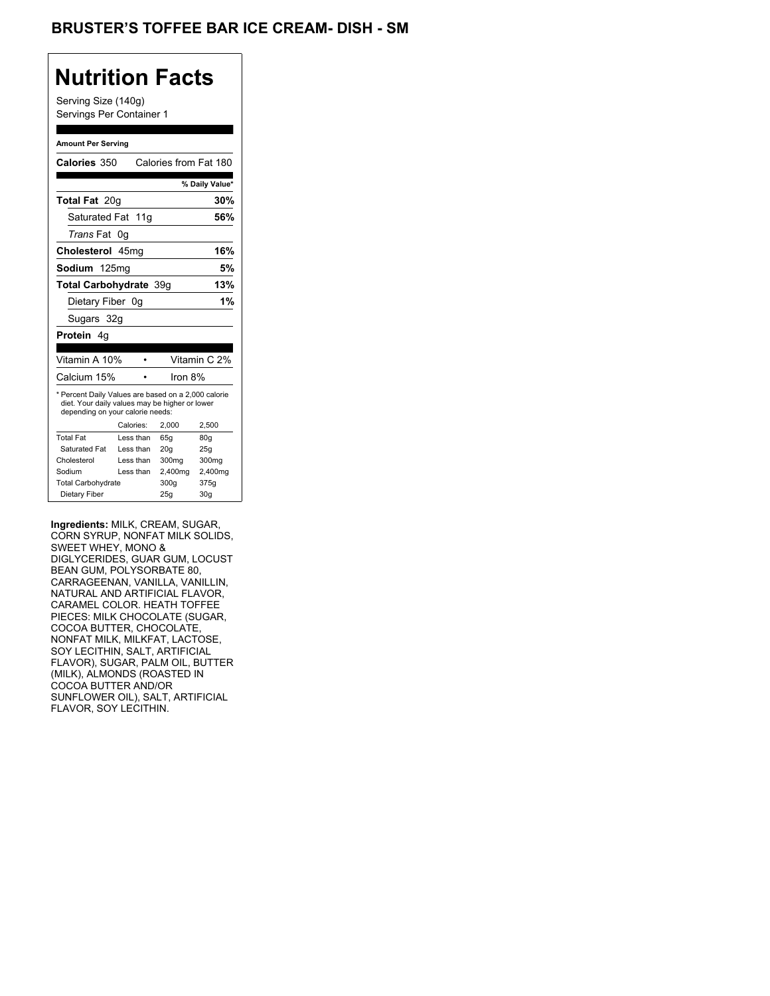## BRUSTER'S TOFFEE BAR ICE CREAM- DISH - SM

## **Nutrition Facts**

Serving Size (140g) Servings Per Container 1

#### **Amount Per Serving**

| Calories 350                                                                                                                              |           | Calories from Fat 180 |                |
|-------------------------------------------------------------------------------------------------------------------------------------------|-----------|-----------------------|----------------|
|                                                                                                                                           |           |                       | % Daily Value* |
| <b>Total Fat 20g</b>                                                                                                                      |           |                       | 30%            |
| Saturated Fat 11g                                                                                                                         |           |                       | 56%            |
| <i>Trans</i> Fat                                                                                                                          | 0g        |                       |                |
| Cholesterol 45mg                                                                                                                          |           |                       | 16%            |
| Sodium 125mg                                                                                                                              |           |                       | 5%             |
| Total Carbohydrate 39q                                                                                                                    |           |                       | 13%            |
| Dietary Fiber 0g                                                                                                                          |           |                       | 1%             |
| Sugars 32g                                                                                                                                |           |                       |                |
| <b>Protein</b> 4q                                                                                                                         |           |                       |                |
|                                                                                                                                           |           |                       |                |
| Vitamin A 10%                                                                                                                             |           |                       | Vitamin C 2%   |
|                                                                                                                                           |           |                       |                |
| Calcium 15%                                                                                                                               |           | Iron 8%               |                |
| * Percent Daily Values are based on a 2,000 calorie<br>diet. Your daily values may be higher or lower<br>depending on your calorie needs: |           |                       |                |
|                                                                                                                                           | Calories: | 2.000                 | 2,500          |
| <b>Total Fat</b>                                                                                                                          | Less than | 65q                   | 80q            |
| Saturated Fat                                                                                                                             | Less than | 20q                   | 25g            |
| Cholesterol                                                                                                                               | Less than | 300mg                 | 300mg          |
| Sodium                                                                                                                                    | Less than | 2,400mg               | 2,400mg        |
| <b>Total Carbohydrate</b>                                                                                                                 |           | 300g                  | 375g           |

**Ingredients:** MILK, CREAM, SUGAR, CORN SYRUP, NONFAT MILK SOLIDS, SWEET WHEY, MONO & DIGLYCERIDES, GUAR GUM, LOCUST BEAN GUM, POLYSORBATE 80, CARRAGEENAN, VANILLA, VANILLIN, NATURAL AND ARTIFICIAL FLAVOR, CARAMEL COLOR. HEATH TOFFEE PIECES: MILK CHOCOLATE (SUGAR, COCOA BUTTER, CHOCOLATE, NONFAT MILK, MILKFAT, LACTOSE, SOY LECITHIN, SALT, ARTIFICIAL FLAVOR), SUGAR, PALM OIL, BUTTER (MILK), ALMONDS (ROASTED IN COCOA BUTTER AND/OR SUNFLOWER OIL), SALT, ARTIFICIAL FLAVOR, SOY LECITHIN.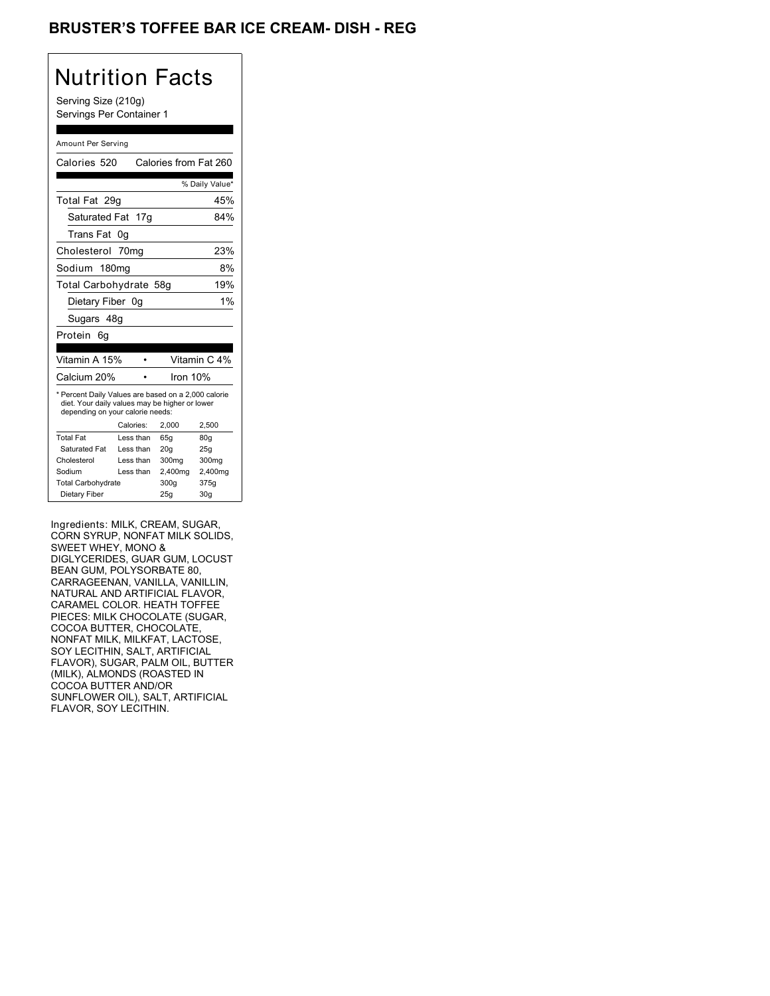## BRUSTER'S TOFFEE BAR ICE CREAM- DISH - REG

## Nutrition Facts

Serving Size (210g) Servings Per Container 1

#### Amount Per Serving

| Calories 520                                                                                                                              |           | Calories from Fat 260 |                 |
|-------------------------------------------------------------------------------------------------------------------------------------------|-----------|-----------------------|-----------------|
|                                                                                                                                           |           |                       | % Daily Value*  |
| Total Fat 29q                                                                                                                             |           |                       | 45%             |
| Saturated Fat 17g                                                                                                                         |           |                       | 84%             |
| Trans Fat                                                                                                                                 | 0g        |                       |                 |
| Cholesterol                                                                                                                               | 70mg      |                       | 23%             |
| Sodium 180mg                                                                                                                              |           |                       | 8%              |
| Total Carbohydrate 58g                                                                                                                    |           |                       | 19%             |
| Dietary Fiber 0q                                                                                                                          |           |                       | 1%              |
| Sugars 48g                                                                                                                                |           |                       |                 |
| Protein<br>6g                                                                                                                             |           |                       |                 |
|                                                                                                                                           |           |                       |                 |
| Vitamin A 15%                                                                                                                             |           |                       | Vitamin C 4%    |
| Calcium 20%                                                                                                                               |           | Iron 10%              |                 |
| * Percent Daily Values are based on a 2,000 calorie<br>diet. Your daily values may be higher or lower<br>depending on your calorie needs: |           |                       |                 |
|                                                                                                                                           | Calories: | 2,000                 | 2,500           |
| <b>Total Fat</b>                                                                                                                          | Less than | 65q                   | 80g             |
| Saturated Fat                                                                                                                             | Less than | 20q                   | 25q             |
| Cholesterol                                                                                                                               | Less than | 300mg                 | 300mg           |
| Sodium                                                                                                                                    | Less than | 2,400mg               | 2,400mg         |
| <b>Total Carbohydrate</b>                                                                                                                 |           | 300q                  | 375g            |
| Dietary Fiber                                                                                                                             |           | 25g                   | 30 <sub>g</sub> |

Ingredients: MILK, CREAM, SUGAR, CORN SYRUP, NONFAT MILK SOLIDS, SWEET WHEY, MONO & DIGLYCERIDES, GUAR GUM, LOCUST BEAN GUM, POLYSORBATE 80, CARRAGEENAN, VANILLA, VANILLIN, NATURAL AND ARTIFICIAL FLAVOR, CARAMEL COLOR. HEATH TOFFEE PIECES: MILK CHOCOLATE (SUGAR, COCOA BUTTER, CHOCOLATE, NONFAT MILK, MILKFAT, LACTOSE, SOY LECITHIN, SALT, ARTIFICIAL FLAVOR), SUGAR, PALM OIL, BUTTER (MILK), ALMONDS (ROASTED IN COCOA BUTTER AND/OR SUNFLOWER OIL), SALT, ARTIFICIAL FLAVOR, SOY LECITHIN.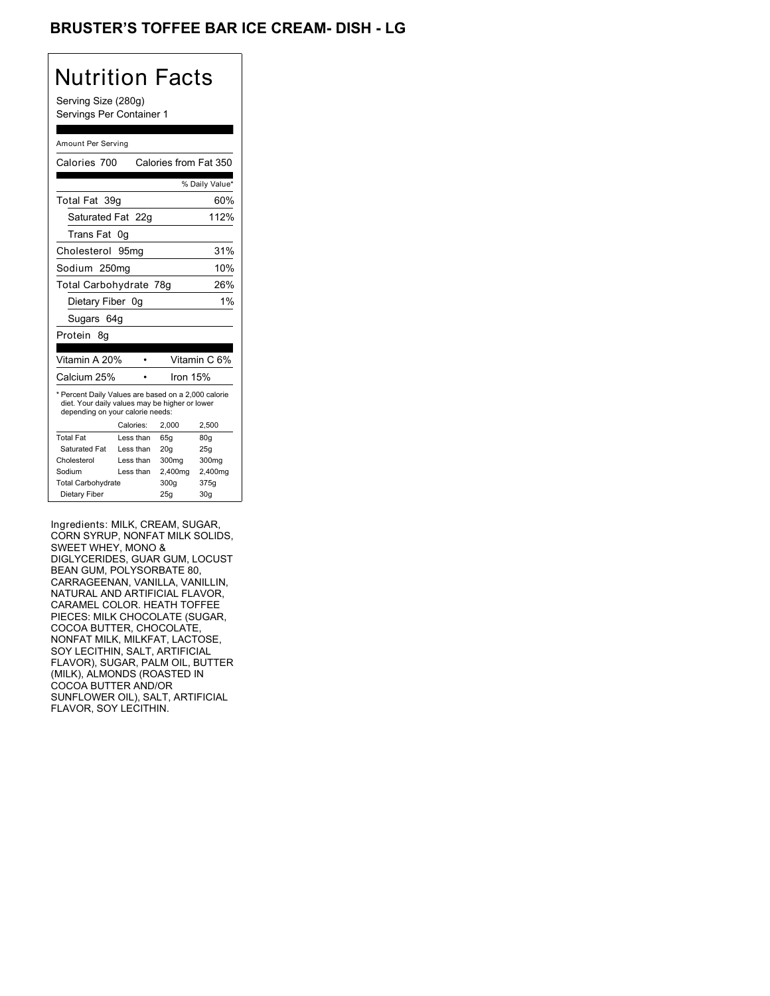## BRUSTER'S TOFFEE BAR ICE CREAM- DISH - LG

## Nutrition Facts

Serving Size (280g) Servings Per Container 1

#### Amount Per Serving

| Calories 700                                                                                                                              |                  | Calories from Fat 350 |                 |
|-------------------------------------------------------------------------------------------------------------------------------------------|------------------|-----------------------|-----------------|
|                                                                                                                                           |                  |                       | % Daily Value*  |
| Total Fat 39g                                                                                                                             |                  |                       | 60%             |
| Saturated Fat 22g                                                                                                                         |                  |                       | 112%            |
| Trans Fat                                                                                                                                 | 0g               |                       |                 |
| Cholesterol                                                                                                                               | 95 <sub>mq</sub> |                       | 31%             |
| Sodium 250mg                                                                                                                              |                  |                       | 10%             |
| Total Carbohydrate 78g                                                                                                                    |                  |                       | 26%             |
| Dietary Fiber 0g                                                                                                                          |                  |                       | 1%              |
| Sugars 64g                                                                                                                                |                  |                       |                 |
| Protein<br>8q                                                                                                                             |                  |                       |                 |
|                                                                                                                                           |                  |                       |                 |
| Vitamin A 20%                                                                                                                             |                  |                       | Vitamin C 6%    |
| Calcium 25%                                                                                                                               |                  | lron 15%              |                 |
| * Percent Daily Values are based on a 2,000 calorie<br>diet. Your daily values may be higher or lower<br>depending on your calorie needs: |                  |                       |                 |
|                                                                                                                                           | Calories:        | 2,000                 | 2,500           |
| <b>Total Fat</b>                                                                                                                          | Less than        | 65q                   | 80g             |
| Saturated Fat                                                                                                                             | Less than        | 20q                   | 25g             |
| Cholesterol                                                                                                                               | Less than        | 300 <sub>mq</sub>     | 300mg           |
| Sodium                                                                                                                                    | Less than        | 2,400mg               | 2,400mg         |
| <b>Total Carbohydrate</b>                                                                                                                 |                  | 300q                  | 375g            |
| Dietary Fiber                                                                                                                             |                  | 25g                   | 30 <sub>g</sub> |

Ingredients: MILK, CREAM, SUGAR, CORN SYRUP, NONFAT MILK SOLIDS, SWEET WHEY, MONO & DIGLYCERIDES, GUAR GUM, LOCUST BEAN GUM, POLYSORBATE 80, CARRAGEENAN, VANILLA, VANILLIN, NATURAL AND ARTIFICIAL FLAVOR, CARAMEL COLOR. HEATH TOFFEE PIECES: MILK CHOCOLATE (SUGAR, COCOA BUTTER, CHOCOLATE, NONFAT MILK, MILKFAT, LACTOSE, SOY LECITHIN, SALT, ARTIFICIAL FLAVOR), SUGAR, PALM OIL, BUTTER (MILK), ALMONDS (ROASTED IN COCOA BUTTER AND/OR SUNFLOWER OIL), SALT, ARTIFICIAL FLAVOR, SOY LECITHIN.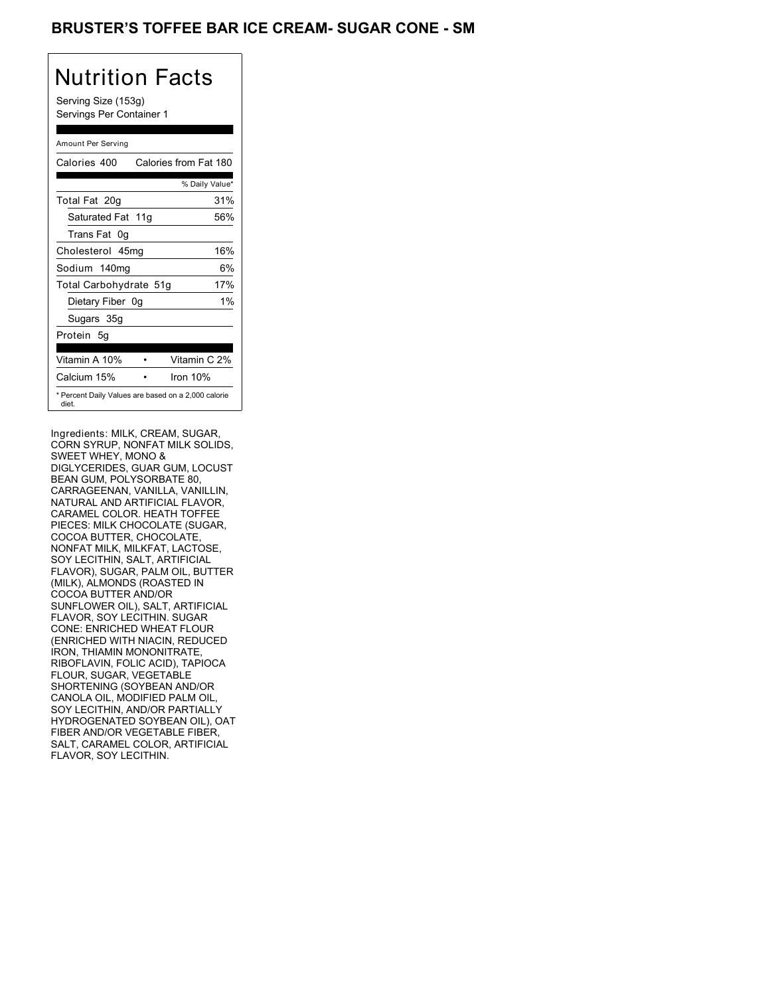## BRUSTER'S TOFFEE BAR ICE CREAM- SUGAR CONE - SM

## Nutrition Facts

Serving Size (153g) Servings Per Container 1

### Amount Per Serving

| Calories 400                                                 | Calories from Fat 180 |
|--------------------------------------------------------------|-----------------------|
|                                                              | % Daily Value*        |
| Total Fat 20g                                                | 31%                   |
| Saturated Fat 11g                                            | 56%                   |
| Trans Fat 0q                                                 |                       |
| Cholesterol 45mg                                             | 16%                   |
| Sodium 140mg                                                 | 6%                    |
| Total Carbohydrate 51g                                       | 17%                   |
| Dietary Fiber 0g                                             | $1\%$                 |
| Sugars 35g                                                   |                       |
| Protein 5q                                                   |                       |
| Vitamin A 10%                                                | Vitamin C 2%          |
| Calcium 15%                                                  | Iron $10%$            |
| * Percent Daily Values are based on a 2,000 calorie<br>diet. |                       |

Ingredients: MILK, CREAM, SUGAR, CORN SYRUP, NONFAT MILK SOLIDS, SWEET WHEY, MONO & DIGLYCERIDES, GUAR GUM, LOCUST BEAN GUM, POLYSORBATE 80, CARRAGEENAN, VANILLA, VANILLIN, NATURAL AND ARTIFICIAL FLAVOR, CARAMEL COLOR. HEATH TOFFEE PIECES: MILK CHOCOLATE (SUGAR, COCOA BUTTER, CHOCOLATE, NONFAT MILK, MILKFAT, LACTOSE, SOY LECITHIN, SALT, ARTIFICIAL FLAVOR), SUGAR, PALM OIL, BUTTER (MILK), ALMONDS (ROASTED IN COCOA BUTTER AND/OR SUNFLOWER OIL), SALT, ARTIFICIAL FLAVOR, SOY LECITHIN. SUGAR CONE: ENRICHED WHEAT FLOUR (ENRICHED WITH NIACIN, REDUCED IRON, THIAMIN MONONITRATE, RIBOFLAVIN, FOLIC ACID), TAPIOCA FLOUR, SUGAR, VEGETABLE SHORTENING (SOYBEAN AND/OR CANOLA OIL, MODIFIED PALM OIL, SOY LECITHIN, AND/OR PARTIALLY HYDROGENATED SOYBEAN OIL), OAT FIBER AND/OR VEGETABLE FIBER, SALT, CARAMEL COLOR, ARTIFICIAL FLAVOR, SOY LECITHIN.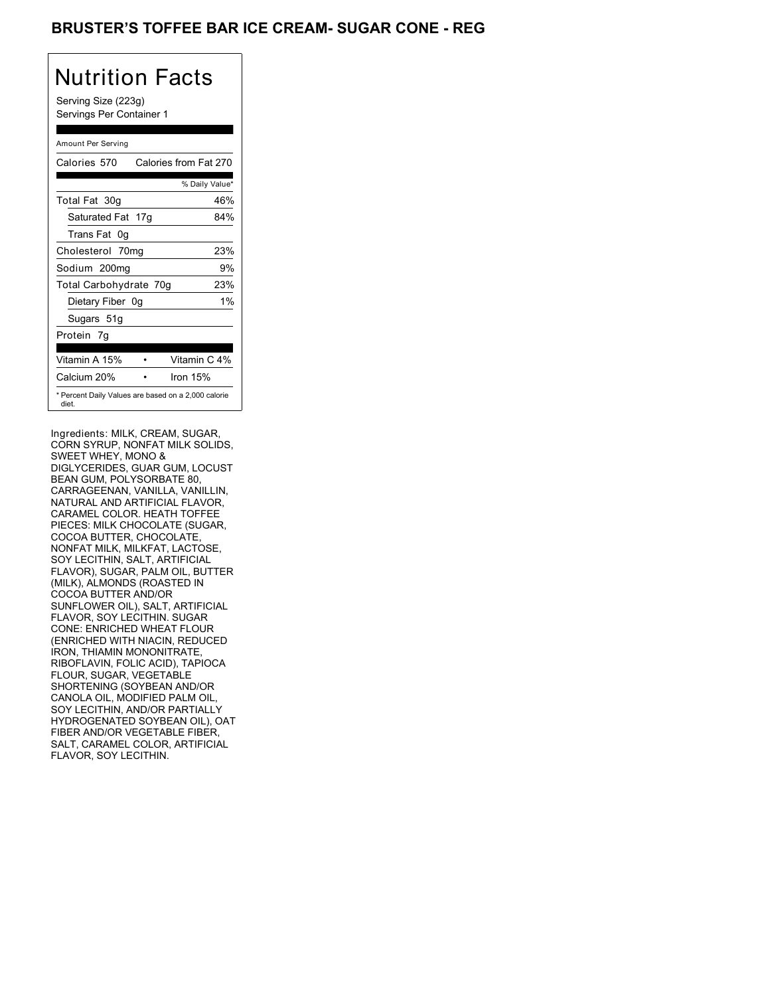## BRUSTER'S TOFFEE BAR ICE CREAM- SUGAR CONE - REG

# Nutrition Facts

Serving Size (223g) Servings Per Container 1

### Amount Per Serving

| Calories 570           | Calories from Fat 270                               |
|------------------------|-----------------------------------------------------|
|                        | % Daily Value*                                      |
| Total Fat 30g          | 46%                                                 |
| Saturated Fat 17g      | 84%                                                 |
| Trans Fat 0q           |                                                     |
| Cholesterol 70mg       | 23%                                                 |
| Sodium 200mg           | 9%                                                  |
| Total Carbohydrate 70g | 23%                                                 |
| Dietary Fiber 0g       | $1\%$                                               |
| Sugars 51g             |                                                     |
| Protein 7q             |                                                     |
| Vitamin A 15%          | Vitamin C 4%                                        |
| Calcium 20%            | Iron $15%$                                          |
| diet.                  | * Percent Daily Values are based on a 2,000 calorie |

Ingredients: MILK, CREAM, SUGAR, CORN SYRUP, NONFAT MILK SOLIDS, SWEET WHEY, MONO & DIGLYCERIDES, GUAR GUM, LOCUST BEAN GUM, POLYSORBATE 80, CARRAGEENAN, VANILLA, VANILLIN, NATURAL AND ARTIFICIAL FLAVOR, CARAMEL COLOR. HEATH TOFFEE PIECES: MILK CHOCOLATE (SUGAR, COCOA BUTTER, CHOCOLATE, NONFAT MILK, MILKFAT, LACTOSE, SOY LECITHIN, SALT, ARTIFICIAL FLAVOR), SUGAR, PALM OIL, BUTTER (MILK), ALMONDS (ROASTED IN COCOA BUTTER AND/OR SUNFLOWER OIL), SALT, ARTIFICIAL FLAVOR, SOY LECITHIN. SUGAR CONE: ENRICHED WHEAT FLOUR (ENRICHED WITH NIACIN, REDUCED IRON, THIAMIN MONONITRATE, RIBOFLAVIN, FOLIC ACID), TAPIOCA FLOUR, SUGAR, VEGETABLE SHORTENING (SOYBEAN AND/OR CANOLA OIL, MODIFIED PALM OIL, SOY LECITHIN, AND/OR PARTIALLY HYDROGENATED SOYBEAN OIL), OAT FIBER AND/OR VEGETABLE FIBER, SALT, CARAMEL COLOR, ARTIFICIAL FLAVOR, SOY LECITHIN.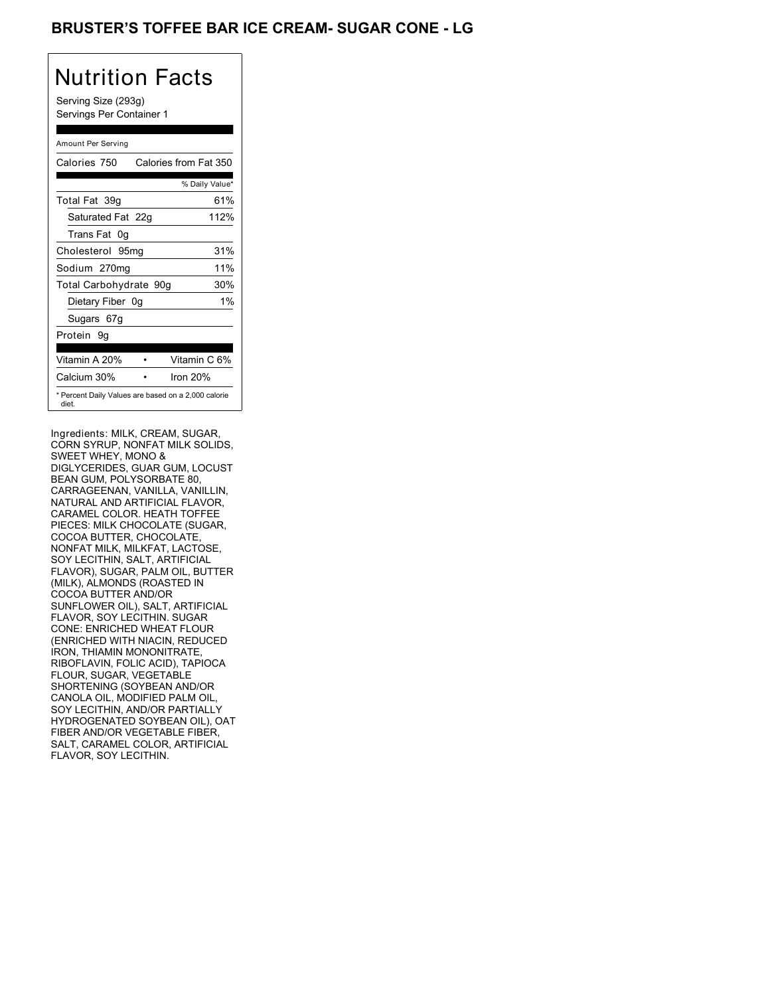## BRUSTER'S TOFFEE BAR ICE CREAM- SUGAR CONE - LG

# Nutrition Facts

Serving Size (293g) Servings Per Container 1

### Amount Per Serving

| Calories 750           | Calories from Fat 350                               |
|------------------------|-----------------------------------------------------|
|                        | % Daily Value*                                      |
| Total Fat 39q          | 61%                                                 |
| Saturated Fat 22g      | 112%                                                |
| Trans Fat 0q           |                                                     |
| Cholesterol 95mg       | 31%                                                 |
| Sodium 270mg           | 11%                                                 |
| Total Carbohydrate 90g | 30%                                                 |
| Dietary Fiber 0g       | $1\%$                                               |
| Sugars 67g             |                                                     |
| Protein 9q             |                                                     |
| Vitamin A 20%          | Vitamin C 6%                                        |
| Calcium 30%            | Iron 20%                                            |
| diet.                  | * Percent Daily Values are based on a 2,000 calorie |

Ingredients: MILK, CREAM, SUGAR, CORN SYRUP, NONFAT MILK SOLIDS, SWEET WHEY, MONO & DIGLYCERIDES, GUAR GUM, LOCUST BEAN GUM, POLYSORBATE 80, CARRAGEENAN, VANILLA, VANILLIN, NATURAL AND ARTIFICIAL FLAVOR, CARAMEL COLOR. HEATH TOFFEE PIECES: MILK CHOCOLATE (SUGAR, COCOA BUTTER, CHOCOLATE, NONFAT MILK, MILKFAT, LACTOSE, SOY LECITHIN, SALT, ARTIFICIAL FLAVOR), SUGAR, PALM OIL, BUTTER (MILK), ALMONDS (ROASTED IN COCOA BUTTER AND/OR SUNFLOWER OIL), SALT, ARTIFICIAL FLAVOR, SOY LECITHIN. SUGAR CONE: ENRICHED WHEAT FLOUR (ENRICHED WITH NIACIN, REDUCED IRON, THIAMIN MONONITRATE, RIBOFLAVIN, FOLIC ACID), TAPIOCA FLOUR, SUGAR, VEGETABLE SHORTENING (SOYBEAN AND/OR CANOLA OIL, MODIFIED PALM OIL, SOY LECITHIN, AND/OR PARTIALLY HYDROGENATED SOYBEAN OIL), OAT FIBER AND/OR VEGETABLE FIBER, SALT, CARAMEL COLOR, ARTIFICIAL FLAVOR, SOY LECITHIN.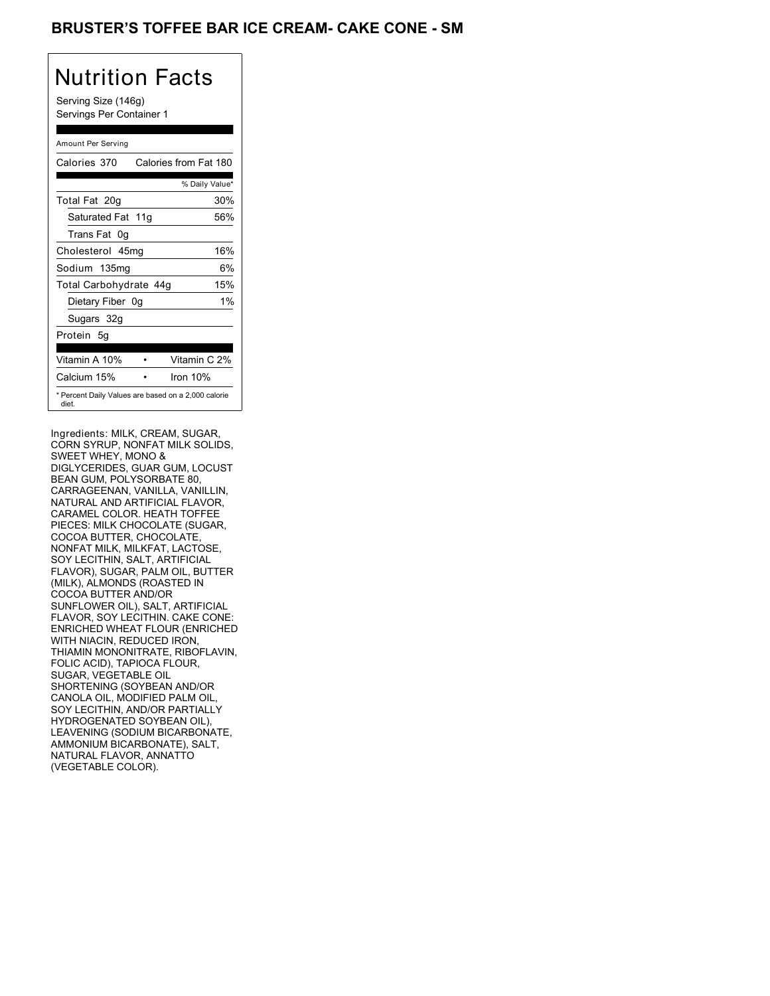## BRUSTER'S TOFFEE BAR ICE CREAM- CAKE CONE - SM

## Nutrition Facts

Serving Size (146g) Servings Per Container 1

### Amount Per Serving

| Calories 370           | Calories from Fat 180                               |
|------------------------|-----------------------------------------------------|
|                        | % Daily Value*                                      |
| Total Fat 20g          | 30%                                                 |
| Saturated Fat 11g      | 56%                                                 |
| Trans Fat 0q           |                                                     |
| Cholesterol 45mg       | 16%                                                 |
| Sodium 135mg           | 6%                                                  |
| Total Carbohydrate 44g | 15%                                                 |
| Dietary Fiber 0g       | $1\%$                                               |
| Sugars 32g             |                                                     |
| Protein 5q             |                                                     |
| Vitamin A 10%          | Vitamin C 2%                                        |
| Calcium 15%            | Iron 10%                                            |
| diet.                  | * Percent Daily Values are based on a 2,000 calorie |

Ingredients: MILK, CREAM, SUGAR, CORN SYRUP, NONFAT MILK SOLIDS, SWEET WHEY, MONO & DIGLYCERIDES, GUAR GUM, LOCUST BEAN GUM, POLYSORBATE 80, CARRAGEENAN, VANILLA, VANILLIN, NATURAL AND ARTIFICIAL FLAVOR, CARAMEL COLOR. HEATH TOFFEE PIECES: MILK CHOCOLATE (SUGAR, COCOA BUTTER, CHOCOLATE, NONFAT MILK, MILKFAT, LACTOSE, SOY LECITHIN, SALT, ARTIFICIAL FLAVOR), SUGAR, PALM OIL, BUTTER (MILK), ALMONDS (ROASTED IN COCOA BUTTER AND/OR SUNFLOWER OIL), SALT, ARTIFICIAL FLAVOR, SOY LECITHIN. CAKE CONE: ENRICHED WHEAT FLOUR (ENRICHED WITH NIACIN, REDUCED IRON, THIAMIN MONONITRATE, RIBOFLAVIN, FOLIC ACID), TAPIOCA FLOUR, SUGAR, VEGETABLE OIL SHORTENING (SOYBEAN AND/OR CANOLA OIL, MODIFIED PALM OIL, SOY LECITHIN, AND/OR PARTIALLY HYDROGENATED SOYBEAN OIL), LEAVENING (SODIUM BICARBONATE, AMMONIUM BICARBONATE), SALT, NATURAL FLAVOR, ANNATTO (VEGETABLE COLOR).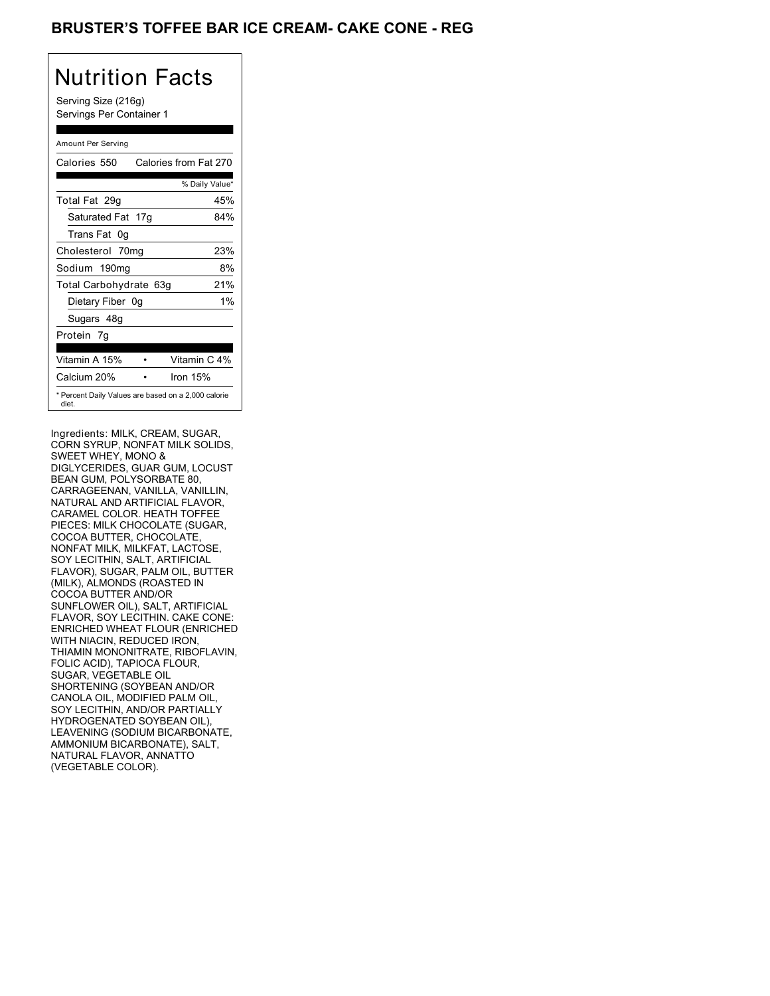## **BRUSTER'S TOFFEE BAR ICE CREAM- CAKE CONE - REG**

## Nutrition Facts

Serving Size (216g) Servings Per Container 1

### Amount Per Serving

| Calories 550           | Calories from Fat 270                               |
|------------------------|-----------------------------------------------------|
|                        | % Daily Value*                                      |
| Total Fat 29q          | 45%                                                 |
| Saturated Fat 17g      | 84%                                                 |
| Trans Fat 0q           |                                                     |
| Cholesterol 70mg       | 23%                                                 |
| Sodium 190mg           | 8%                                                  |
| Total Carbohydrate 63g | 21%                                                 |
| Dietary Fiber 0g       | $1\%$                                               |
| Sugars 48g             |                                                     |
| Protein 7g             |                                                     |
|                        |                                                     |
| Vitamin A 15%          | Vitamin C 4%                                        |
| Calcium 20%            | Iron 15%                                            |
| diet.                  | * Percent Daily Values are based on a 2,000 calorie |

Ingredients: MILK, CREAM, SUGAR, CORN SYRUP, NONFAT MILK SOLIDS, SWEET WHEY, MONO & DIGLYCERIDES, GUAR GUM, LOCUST BEAN GUM, POLYSORBATE 80, CARRAGEENAN, VANILLA, VANILLIN, NATURAL AND ARTIFICIAL FLAVOR, CARAMEL COLOR. HEATH TOFFEE PIECES: MILK CHOCOLATE (SUGAR, COCOA BUTTER, CHOCOLATE, NONFAT MILK, MILKFAT, LACTOSE, SOY LECITHIN, SALT, ARTIFICIAL FLAVOR), SUGAR, PALM OIL, BUTTER (MILK), ALMONDS (ROASTED IN COCOA BUTTER AND/OR SUNFLOWER OIL), SALT, ARTIFICIAL FLAVOR, SOY LECITHIN. CAKE CONE: ENRICHED WHEAT FLOUR (ENRICHED WITH NIACIN, REDUCED IRON, THIAMIN MONONITRATE, RIBOFLAVIN, FOLIC ACID), TAPIOCA FLOUR, SUGAR, VEGETABLE OIL SHORTENING (SOYBEAN AND/OR CANOLA OIL, MODIFIED PALM OIL, SOY LECITHIN, AND/OR PARTIALLY HYDROGENATED SOYBEAN OIL), LEAVENING (SODIUM BICARBONATE, AMMONIUM BICARBONATE), SALT, NATURAL FLAVOR, ANNATTO (VEGETABLE COLOR).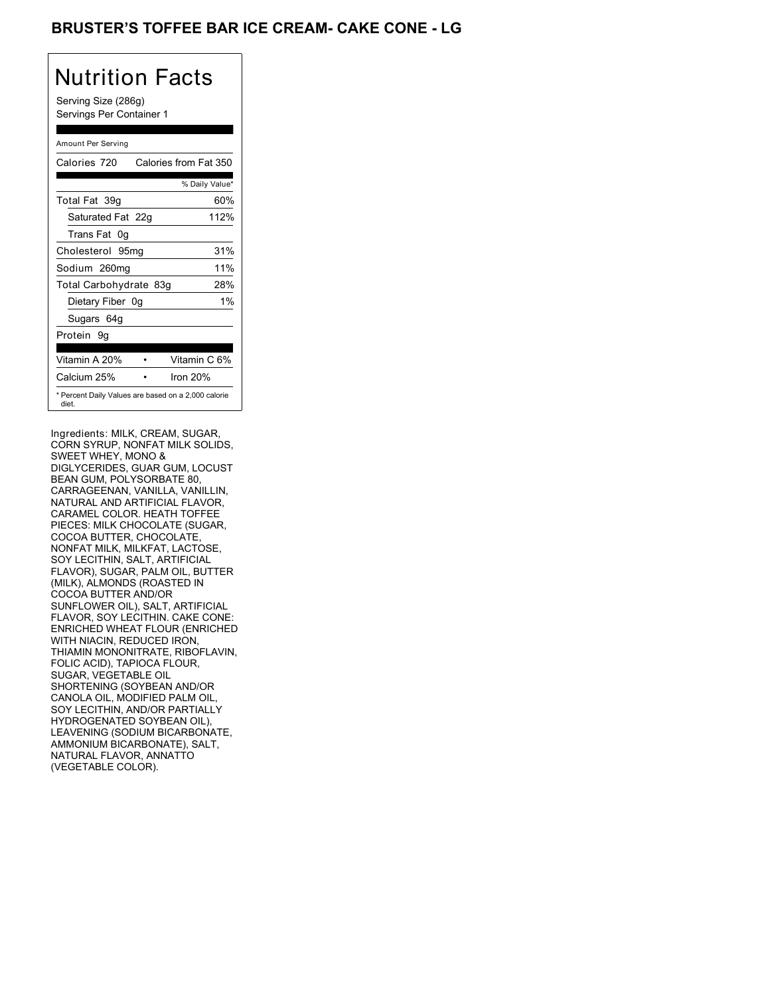## **BRUSTER'S TOFFEE BAR ICE CREAM- CAKE CONE - LG**

# Nutrition Facts

Serving Size (286g) Servings Per Container 1

### Amount Per Serving

| Calories 720           | Calories from Fat 350                               |
|------------------------|-----------------------------------------------------|
|                        | % Daily Value*                                      |
| Total Fat 39q          | 60%                                                 |
| Saturated Fat 22g      | 112%                                                |
| Trans Fat 0q           |                                                     |
| Cholesterol 95mg       | 31%                                                 |
| Sodium 260mg           | 11%                                                 |
| Total Carbohydrate 83g | 28%                                                 |
| Dietary Fiber 0g       | $1\%$                                               |
| Sugars 64g             |                                                     |
| Protein 9q             |                                                     |
| Vitamin A 20%          | Vitamin C 6%                                        |
| Calcium 25%            | Iron 20%                                            |
| diet.                  | * Percent Daily Values are based on a 2,000 calorie |

Ingredients: MILK, CREAM, SUGAR, CORN SYRUP, NONFAT MILK SOLIDS, SWEET WHEY, MONO & DIGLYCERIDES, GUAR GUM, LOCUST BEAN GUM, POLYSORBATE 80, CARRAGEENAN, VANILLA, VANILLIN, NATURAL AND ARTIFICIAL FLAVOR, CARAMEL COLOR. HEATH TOFFEE PIECES: MILK CHOCOLATE (SUGAR, COCOA BUTTER, CHOCOLATE, NONFAT MILK, MILKFAT, LACTOSE, SOY LECITHIN, SALT, ARTIFICIAL FLAVOR), SUGAR, PALM OIL, BUTTER (MILK), ALMONDS (ROASTED IN COCOA BUTTER AND/OR SUNFLOWER OIL), SALT, ARTIFICIAL FLAVOR, SOY LECITHIN. CAKE CONE: ENRICHED WHEAT FLOUR (ENRICHED WITH NIACIN, REDUCED IRON, THIAMIN MONONITRATE, RIBOFLAVIN, FOLIC ACID), TAPIOCA FLOUR, SUGAR, VEGETABLE OIL SHORTENING (SOYBEAN AND/OR CANOLA OIL, MODIFIED PALM OIL, SOY LECITHIN, AND/OR PARTIALLY HYDROGENATED SOYBEAN OIL), LEAVENING (SODIUM BICARBONATE, AMMONIUM BICARBONATE), SALT, NATURAL FLAVOR, ANNATTO (VEGETABLE COLOR).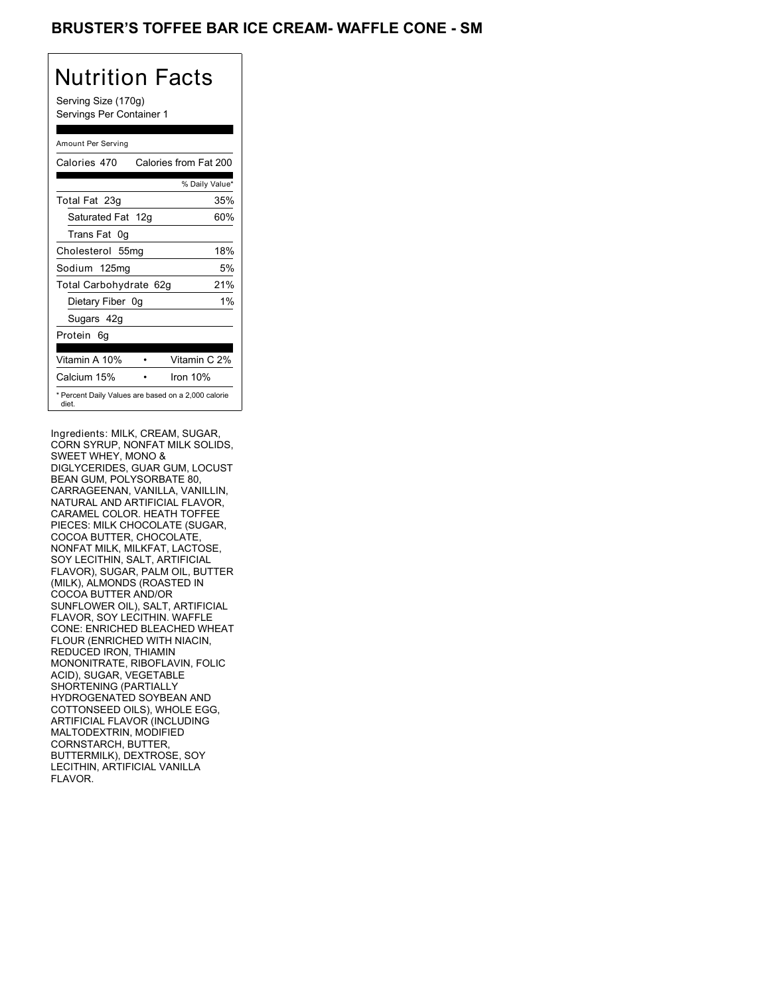### BRUSTER'S TOFFEE BAR ICE CREAM- WAFFLE CONE - SM

# Nutrition Facts

Serving Size (170g) Servings Per Container 1

### Amount Per Serving

| Calories 470           | Calories from Fat 200                               |
|------------------------|-----------------------------------------------------|
|                        | % Daily Value*                                      |
| Total Fat 23g          | 35%                                                 |
| Saturated Fat 12g      | 60%                                                 |
| Trans Fat 0q           |                                                     |
| Cholesterol 55mg       | 18%                                                 |
| Sodium 125mg           | 5%                                                  |
| Total Carbohydrate 62g | 21%                                                 |
| Dietary Fiber 0g       | $1\%$                                               |
| Sugars 42g             |                                                     |
| Protein 6q             |                                                     |
| Vitamin A 10%          | Vitamin C 2%                                        |
| Calcium 15%            | Iron 10%                                            |
| diet.                  | * Percent Daily Values are based on a 2,000 calorie |

Ingredients: MILK, CREAM, SUGAR, CORN SYRUP, NONFAT MILK SOLIDS, SWEET WHEY, MONO & DIGLYCERIDES, GUAR GUM, LOCUST BEAN GUM, POLYSORBATE 80, CARRAGEENAN, VANILLA, VANILLIN, NATURAL AND ARTIFICIAL FLAVOR, CARAMEL COLOR. HEATH TOFFEE PIECES: MILK CHOCOLATE (SUGAR, COCOA BUTTER, CHOCOLATE, NONFAT MILK, MILKFAT, LACTOSE, SOY LECITHIN, SALT, ARTIFICIAL FLAVOR), SUGAR, PALM OIL, BUTTER (MILK), ALMONDS (ROASTED IN COCOA BUTTER AND/OR SUNFLOWER OIL), SALT, ARTIFICIAL FLAVOR, SOY LECITHIN. WAFFLE CONE: ENRICHED BLEACHED WHEAT FLOUR (ENRICHED WITH NIACIN, REDUCED IRON, THIAMIN MONONITRATE, RIBOFLAVIN, FOLIC ACID), SUGAR, VEGETABLE SHORTENING (PARTIALLY HYDROGENATED SOYBEAN AND COTTONSEED OILS), WHOLE EGG, ARTIFICIAL FLAVOR (INCLUDING MALTODEXTRIN, MODIFIED CORNSTARCH, BUTTER, BUTTERMILK), DEXTROSE, SOY LECITHIN, ARTIFICIAL VANILLA FLAVOR.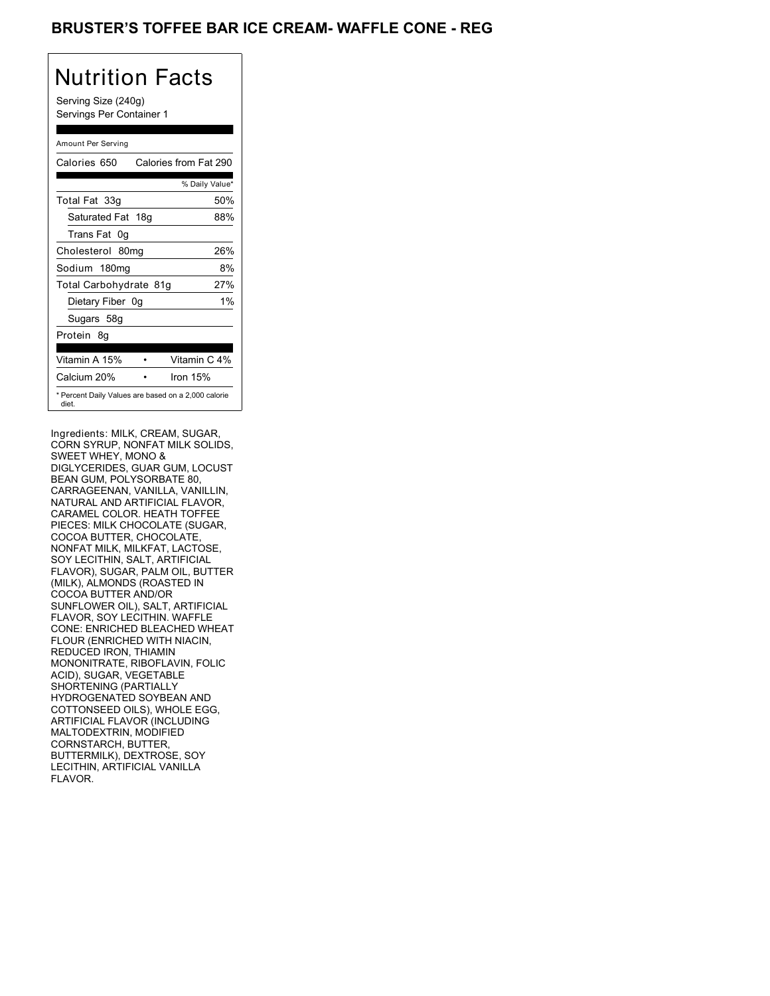### BRUSTER'S TOFFEE BAR ICE CREAM- WAFFLE CONE - REG

# Nutrition Facts

Serving Size (240g) Servings Per Container 1

### Amount Per Serving

| Calories 650           | Calories from Fat 290                               |
|------------------------|-----------------------------------------------------|
|                        | % Daily Value*                                      |
| Total Fat 33g          | 50%                                                 |
| Saturated Fat 18g      | 88%                                                 |
| Trans Fat 0q           |                                                     |
| Cholesterol 80mg       | 26%                                                 |
| Sodium 180mg           | 8%                                                  |
| Total Carbohydrate 81g | 27%                                                 |
| Dietary Fiber 0g       | $1\%$                                               |
| Sugars 58g             |                                                     |
| Protein 8q             |                                                     |
| Vitamin A 15%          | Vitamin C 4%                                        |
| Calcium 20%            | Iron 15%                                            |
| diet.                  | * Percent Daily Values are based on a 2,000 calorie |

Ingredients: MILK, CREAM, SUGAR, CORN SYRUP, NONFAT MILK SOLIDS, SWEET WHEY, MONO & DIGLYCERIDES, GUAR GUM, LOCUST BEAN GUM, POLYSORBATE 80, CARRAGEENAN, VANILLA, VANILLIN, NATURAL AND ARTIFICIAL FLAVOR, CARAMEL COLOR. HEATH TOFFEE PIECES: MILK CHOCOLATE (SUGAR, COCOA BUTTER, CHOCOLATE, NONFAT MILK, MILKFAT, LACTOSE, SOY LECITHIN, SALT, ARTIFICIAL FLAVOR), SUGAR, PALM OIL, BUTTER (MILK), ALMONDS (ROASTED IN COCOA BUTTER AND/OR SUNFLOWER OIL), SALT, ARTIFICIAL FLAVOR, SOY LECITHIN. WAFFLE CONE: ENRICHED BLEACHED WHEAT FLOUR (ENRICHED WITH NIACIN, REDUCED IRON, THIAMIN MONONITRATE, RIBOFLAVIN, FOLIC ACID), SUGAR, VEGETABLE SHORTENING (PARTIALLY HYDROGENATED SOYBEAN AND COTTONSEED OILS), WHOLE EGG, ARTIFICIAL FLAVOR (INCLUDING MALTODEXTRIN, MODIFIED CORNSTARCH, BUTTER, BUTTERMILK), DEXTROSE, SOY LECITHIN, ARTIFICIAL VANILLA FLAVOR.